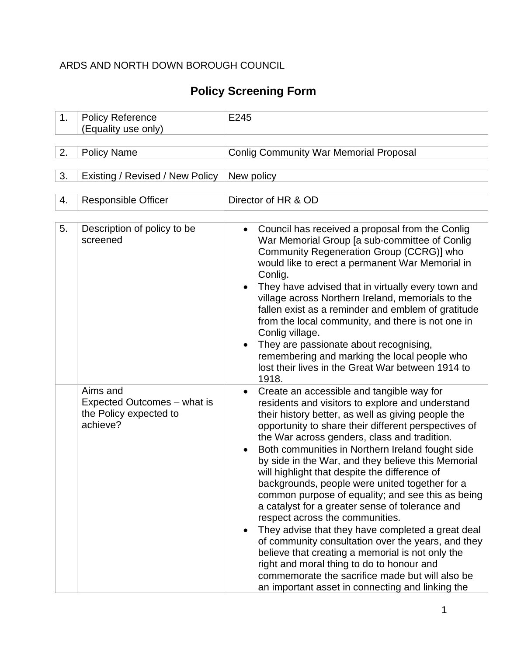### ARDS AND NORTH DOWN BOROUGH COUNCIL

# **Policy Screening Form**

| 1. | <b>Policy Reference</b><br>(Equality use only)                                | E245                                                                                                                                                                                                                                                                                                                                                                                                                                                                                                                                                                                                                                                                                                                                                                                                                                                                                                                                                |
|----|-------------------------------------------------------------------------------|-----------------------------------------------------------------------------------------------------------------------------------------------------------------------------------------------------------------------------------------------------------------------------------------------------------------------------------------------------------------------------------------------------------------------------------------------------------------------------------------------------------------------------------------------------------------------------------------------------------------------------------------------------------------------------------------------------------------------------------------------------------------------------------------------------------------------------------------------------------------------------------------------------------------------------------------------------|
|    |                                                                               |                                                                                                                                                                                                                                                                                                                                                                                                                                                                                                                                                                                                                                                                                                                                                                                                                                                                                                                                                     |
| 2. | <b>Policy Name</b>                                                            | <b>Conlig Community War Memorial Proposal</b>                                                                                                                                                                                                                                                                                                                                                                                                                                                                                                                                                                                                                                                                                                                                                                                                                                                                                                       |
| 3. | Existing / Revised / New Policy                                               | New policy                                                                                                                                                                                                                                                                                                                                                                                                                                                                                                                                                                                                                                                                                                                                                                                                                                                                                                                                          |
| 4. | <b>Responsible Officer</b>                                                    | Director of HR & OD                                                                                                                                                                                                                                                                                                                                                                                                                                                                                                                                                                                                                                                                                                                                                                                                                                                                                                                                 |
| 5. | Description of policy to be<br>screened                                       | Council has received a proposal from the Conlig<br>$\bullet$<br>War Memorial Group [a sub-committee of Conlig<br>Community Regeneration Group (CCRG)] who<br>would like to erect a permanent War Memorial in<br>Conlig.<br>They have advised that in virtually every town and<br>village across Northern Ireland, memorials to the<br>fallen exist as a reminder and emblem of gratitude<br>from the local community, and there is not one in<br>Conlig village.<br>They are passionate about recognising,<br>remembering and marking the local people who<br>lost their lives in the Great War between 1914 to<br>1918.                                                                                                                                                                                                                                                                                                                            |
|    | Aims and<br>Expected Outcomes – what is<br>the Policy expected to<br>achieve? | Create an accessible and tangible way for<br>$\bullet$<br>residents and visitors to explore and understand<br>their history better, as well as giving people the<br>opportunity to share their different perspectives of<br>the War across genders, class and tradition.<br>Both communities in Northern Ireland fought side<br>by side in the War, and they believe this Memorial<br>will highlight that despite the difference of<br>backgrounds, people were united together for a<br>common purpose of equality; and see this as being<br>a catalyst for a greater sense of tolerance and<br>respect across the communities.<br>They advise that they have completed a great deal<br>of community consultation over the years, and they<br>believe that creating a memorial is not only the<br>right and moral thing to do to honour and<br>commemorate the sacrifice made but will also be<br>an important asset in connecting and linking the |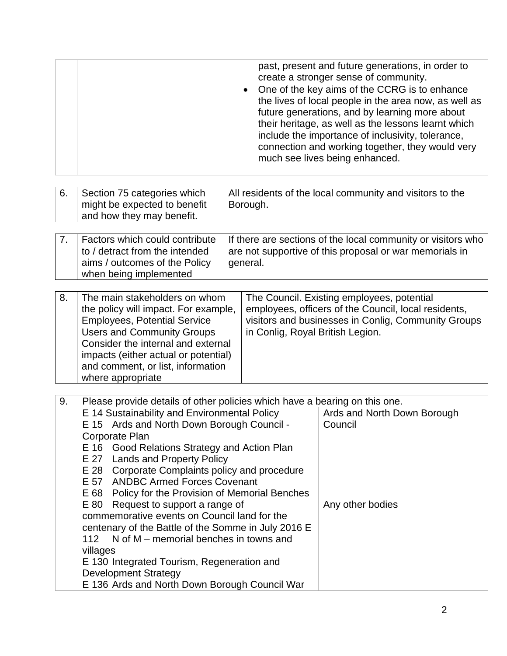| past, present and future generations, in order to<br>One of the key aims of the CCRG is to enhance<br>the lives of local people in the area now, as well as<br>future generations, and by learning more about<br>their heritage, as well as the lessons learnt which<br>include the importance of inclusivity, tolerance,<br>connection and working together, they would very |
|-------------------------------------------------------------------------------------------------------------------------------------------------------------------------------------------------------------------------------------------------------------------------------------------------------------------------------------------------------------------------------|
| All residents of the local community and visitors to the                                                                                                                                                                                                                                                                                                                      |
|                                                                                                                                                                                                                                                                                                                                                                               |
|                                                                                                                                                                                                                                                                                                                                                                               |
| If there are sections of the local community or visitors who                                                                                                                                                                                                                                                                                                                  |
| are not supportive of this proposal or war memorials in                                                                                                                                                                                                                                                                                                                       |
|                                                                                                                                                                                                                                                                                                                                                                               |
|                                                                                                                                                                                                                                                                                                                                                                               |
|                                                                                                                                                                                                                                                                                                                                                                               |
| employees, officers of the Council, local residents,                                                                                                                                                                                                                                                                                                                          |
| visitors and businesses in Conlig, Community Groups                                                                                                                                                                                                                                                                                                                           |
|                                                                                                                                                                                                                                                                                                                                                                               |
|                                                                                                                                                                                                                                                                                                                                                                               |
|                                                                                                                                                                                                                                                                                                                                                                               |
|                                                                                                                                                                                                                                                                                                                                                                               |
|                                                                                                                                                                                                                                                                                                                                                                               |
| Ards and North Down Borough                                                                                                                                                                                                                                                                                                                                                   |
|                                                                                                                                                                                                                                                                                                                                                                               |
|                                                                                                                                                                                                                                                                                                                                                                               |
|                                                                                                                                                                                                                                                                                                                                                                               |
|                                                                                                                                                                                                                                                                                                                                                                               |
|                                                                                                                                                                                                                                                                                                                                                                               |
|                                                                                                                                                                                                                                                                                                                                                                               |
|                                                                                                                                                                                                                                                                                                                                                                               |
|                                                                                                                                                                                                                                                                                                                                                                               |
|                                                                                                                                                                                                                                                                                                                                                                               |
|                                                                                                                                                                                                                                                                                                                                                                               |
|                                                                                                                                                                                                                                                                                                                                                                               |
|                                                                                                                                                                                                                                                                                                                                                                               |
|                                                                                                                                                                                                                                                                                                                                                                               |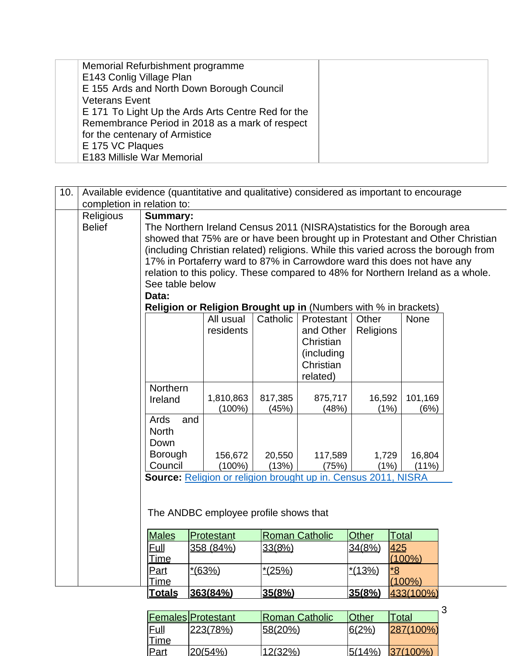| Memorial Refurbishment programme                   |  |
|----------------------------------------------------|--|
| E143 Conlig Village Plan                           |  |
| E 155 Ards and North Down Borough Council          |  |
| <b>Veterans Event</b>                              |  |
| E 171 To Light Up the Ards Arts Centre Red for the |  |
| Remembrance Period in 2018 as a mark of respect    |  |
| for the centenary of Armistice                     |  |
| E 175 VC Plaques                                   |  |
| E183 Millisle War Memorial                         |  |

| 10. | Available evidence (quantitative and qualitative) considered as important to encourage |                                                                                                                         |                                                                                                                                                           |          |                       |              |                   |                                                                                    |  |  |  |  |  |
|-----|----------------------------------------------------------------------------------------|-------------------------------------------------------------------------------------------------------------------------|-----------------------------------------------------------------------------------------------------------------------------------------------------------|----------|-----------------------|--------------|-------------------|------------------------------------------------------------------------------------|--|--|--|--|--|
|     | completion in relation to:                                                             |                                                                                                                         |                                                                                                                                                           |          |                       |              |                   |                                                                                    |  |  |  |  |  |
|     | Religious                                                                              | <b>Summary:</b>                                                                                                         |                                                                                                                                                           |          |                       |              |                   |                                                                                    |  |  |  |  |  |
|     | <b>Belief</b>                                                                          |                                                                                                                         | The Northern Ireland Census 2011 (NISRA) statistics for the Borough area<br>showed that 75% are or have been brought up in Protestant and Other Christian |          |                       |              |                   |                                                                                    |  |  |  |  |  |
|     |                                                                                        |                                                                                                                         |                                                                                                                                                           |          |                       |              |                   |                                                                                    |  |  |  |  |  |
|     |                                                                                        |                                                                                                                         |                                                                                                                                                           |          |                       |              |                   | (including Christian related) religions. While this varied across the borough from |  |  |  |  |  |
|     |                                                                                        |                                                                                                                         | 17% in Portaferry ward to 87% in Carrowdore ward this does not have any                                                                                   |          |                       |              |                   |                                                                                    |  |  |  |  |  |
|     |                                                                                        |                                                                                                                         | relation to this policy. These compared to 48% for Northern Ireland as a whole.                                                                           |          |                       |              |                   |                                                                                    |  |  |  |  |  |
|     |                                                                                        | See table below                                                                                                         |                                                                                                                                                           |          |                       |              |                   |                                                                                    |  |  |  |  |  |
|     |                                                                                        | Data:                                                                                                                   |                                                                                                                                                           |          |                       |              |                   |                                                                                    |  |  |  |  |  |
|     |                                                                                        | Religion or Religion Brought up in (Numbers with % in brackets)<br>Catholic<br>All usual<br>Other<br>Protestant<br>None |                                                                                                                                                           |          |                       |              |                   |                                                                                    |  |  |  |  |  |
|     |                                                                                        |                                                                                                                         | residents                                                                                                                                                 |          | and Other             | Religions    |                   |                                                                                    |  |  |  |  |  |
|     |                                                                                        |                                                                                                                         |                                                                                                                                                           |          | Christian             |              |                   |                                                                                    |  |  |  |  |  |
|     |                                                                                        |                                                                                                                         |                                                                                                                                                           |          | (including            |              |                   |                                                                                    |  |  |  |  |  |
|     |                                                                                        |                                                                                                                         |                                                                                                                                                           |          | Christian             |              |                   |                                                                                    |  |  |  |  |  |
|     |                                                                                        |                                                                                                                         |                                                                                                                                                           |          | related)              |              |                   |                                                                                    |  |  |  |  |  |
|     |                                                                                        | <b>Northern</b>                                                                                                         |                                                                                                                                                           |          |                       |              |                   |                                                                                    |  |  |  |  |  |
|     |                                                                                        | Ireland                                                                                                                 | 1,810,863                                                                                                                                                 | 817,385  | 875,717               | 16,592       | 101,169           |                                                                                    |  |  |  |  |  |
|     |                                                                                        |                                                                                                                         | $(100\%)$                                                                                                                                                 | (45%)    | (48%)                 | (1%)         | (6%)              |                                                                                    |  |  |  |  |  |
|     |                                                                                        | Ards<br>and                                                                                                             |                                                                                                                                                           |          |                       |              |                   |                                                                                    |  |  |  |  |  |
|     |                                                                                        | <b>North</b>                                                                                                            |                                                                                                                                                           |          |                       |              |                   |                                                                                    |  |  |  |  |  |
|     |                                                                                        | Down                                                                                                                    |                                                                                                                                                           |          |                       |              |                   |                                                                                    |  |  |  |  |  |
|     |                                                                                        | <b>Borough</b>                                                                                                          | 156,672                                                                                                                                                   | 20,550   | 117,589               | 1,729        | 16,804            |                                                                                    |  |  |  |  |  |
|     |                                                                                        | Council                                                                                                                 | $(100\%)$<br>Source: Religion or religion brought up in. Census 2011, NISRA                                                                               | (13%)    | (75%)                 | (1%)         | (11%)             |                                                                                    |  |  |  |  |  |
|     |                                                                                        |                                                                                                                         |                                                                                                                                                           |          |                       |              |                   |                                                                                    |  |  |  |  |  |
|     |                                                                                        |                                                                                                                         |                                                                                                                                                           |          |                       |              |                   |                                                                                    |  |  |  |  |  |
|     |                                                                                        |                                                                                                                         |                                                                                                                                                           |          |                       |              |                   |                                                                                    |  |  |  |  |  |
|     | The ANDBC employee profile shows that                                                  |                                                                                                                         |                                                                                                                                                           |          |                       |              |                   |                                                                                    |  |  |  |  |  |
|     |                                                                                        | <b>Males</b>                                                                                                            | Protestant                                                                                                                                                |          | <b>Roman Catholic</b> | <b>Other</b> | Total             |                                                                                    |  |  |  |  |  |
|     |                                                                                        | <b>Eull</b>                                                                                                             | 358 (84%)                                                                                                                                                 | 33(8%)   |                       | 34(8%)       | 425               |                                                                                    |  |  |  |  |  |
|     |                                                                                        | Time                                                                                                                    |                                                                                                                                                           |          |                       |              | $(100\%)$         |                                                                                    |  |  |  |  |  |
|     |                                                                                        | Part                                                                                                                    | $*(63%)$                                                                                                                                                  | $*(25%)$ |                       | $*(13%)$     | $\underline{8}^*$ |                                                                                    |  |  |  |  |  |
|     |                                                                                        | Time                                                                                                                    |                                                                                                                                                           |          |                       |              | $(100\%)$         |                                                                                    |  |  |  |  |  |
|     |                                                                                        | <b>Totals</b>                                                                                                           | 363(84%)                                                                                                                                                  | 35(8%)   |                       | 35(8%)       | 433(100%)         |                                                                                    |  |  |  |  |  |

|             | <b>Females Protestant</b> | <b>Roman Catholic</b> | <b>Other</b> | ⊺otal       | J |
|-------------|---------------------------|-----------------------|--------------|-------------|---|
| <u>Full</u> | 223(78%)                  | 58(20%)               | 6(2%         | 287(100%)   |   |
| Time        |                           |                       |              |             |   |
| Part        | l20(54%)                  | 12(32%)               | $ 5(14\%) $  | $37/100\%)$ |   |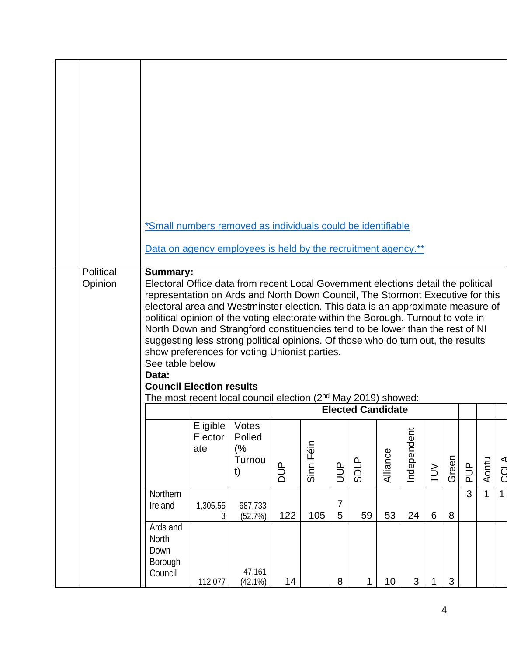| Political<br>Opinion | *Small numbers removed as individuals could be identifiable<br>Data on agency employees is held by the recruitment agency.**<br><b>Summary:</b><br>Electoral Office data from recent Local Government elections detail the political<br>representation on Ards and North Down Council, The Stormont Executive for this<br>electoral area and Westminster election. This data is an approximate measure of<br>political opinion of the voting electorate within the Borough. Turnout to vote in<br>North Down and Strangford constituencies tend to be lower than the rest of NI |                                    |                              |            |           |                     |                          |          |             |         |       |                |       |              |
|----------------------|---------------------------------------------------------------------------------------------------------------------------------------------------------------------------------------------------------------------------------------------------------------------------------------------------------------------------------------------------------------------------------------------------------------------------------------------------------------------------------------------------------------------------------------------------------------------------------|------------------------------------|------------------------------|------------|-----------|---------------------|--------------------------|----------|-------------|---------|-------|----------------|-------|--------------|
|                      | suggesting less strong political opinions. Of those who do turn out, the results<br>show preferences for voting Unionist parties.                                                                                                                                                                                                                                                                                                                                                                                                                                               |                                    |                              |            |           |                     |                          |          |             |         |       |                |       |              |
|                      | See table below<br>Data:<br><b>Council Election results</b>                                                                                                                                                                                                                                                                                                                                                                                                                                                                                                                     |                                    |                              |            |           |                     |                          |          |             |         |       |                |       |              |
|                      | The most recent local council election $(2^{nd}$ May 2019) showed:                                                                                                                                                                                                                                                                                                                                                                                                                                                                                                              |                                    |                              |            |           |                     |                          |          |             |         |       |                |       |              |
|                      |                                                                                                                                                                                                                                                                                                                                                                                                                                                                                                                                                                                 |                                    |                              |            |           |                     | <b>Elected Candidate</b> |          |             |         |       |                |       |              |
|                      |                                                                                                                                                                                                                                                                                                                                                                                                                                                                                                                                                                                 | Eligible   Votes<br>Elector<br>ate | Polled<br>(%<br>Turnou<br>t) | <b>AUD</b> | Sinn Féin | $\exists$           | <b>SDLP</b>              | Alliance | Independent | TUV     | Green | <b>AUQ</b>     | Aontu | <b>CCLA</b>  |
|                      | Northern<br>Ireland                                                                                                                                                                                                                                                                                                                                                                                                                                                                                                                                                             | 1,305,55<br>3                      | 687,733<br>(52.7%)           | 122        | 105       | $\overline{7}$<br>5 | 59                       | 53       | 24          | $\,6\,$ | 8     | $\overline{3}$ | 1     | $\mathbf{1}$ |
|                      | Ards and<br>North<br>Down<br>Borough<br>Council                                                                                                                                                                                                                                                                                                                                                                                                                                                                                                                                 | 112,077                            | 47,161<br>(42.1%)            | 14         |           | 8                   | 1                        | 10       | 3           | 1       | 3     |                |       |              |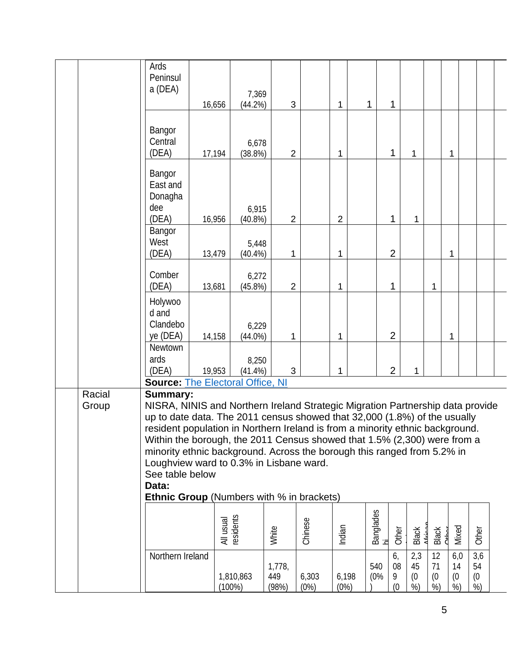|                 | Ards<br>Peninsul<br>a (DEA)                                                                                                                                                                                                                                                                                                                                                                                                                                                                                                              | 16,656    | 7,369<br>(44.2%)    | 3                      |               | 1              | 1 |                 | 1                    |                        |                      |                        |                        |  |
|-----------------|------------------------------------------------------------------------------------------------------------------------------------------------------------------------------------------------------------------------------------------------------------------------------------------------------------------------------------------------------------------------------------------------------------------------------------------------------------------------------------------------------------------------------------------|-----------|---------------------|------------------------|---------------|----------------|---|-----------------|----------------------|------------------------|----------------------|------------------------|------------------------|--|
|                 | Bangor<br>Central<br>(DEA)                                                                                                                                                                                                                                                                                                                                                                                                                                                                                                               | 17,194    | 6,678<br>(38.8%)    | $\overline{2}$         |               | $\mathbf 1$    |   |                 | 1                    | 1                      |                      | 1                      |                        |  |
|                 | Bangor<br>East and<br>Donagha<br>dee<br>(DEA)                                                                                                                                                                                                                                                                                                                                                                                                                                                                                            | 16,956    | 6,915<br>$(40.8\%)$ | $\overline{2}$         |               | $\overline{2}$ |   |                 | 1                    | 1                      |                      |                        |                        |  |
|                 | Bangor<br>West<br>(DEA)                                                                                                                                                                                                                                                                                                                                                                                                                                                                                                                  | 13,479    | 5,448<br>$(40.4\%)$ | 1                      |               | 1              |   |                 | $\overline{2}$       |                        |                      | 1                      |                        |  |
|                 | Comber<br>(DEA)                                                                                                                                                                                                                                                                                                                                                                                                                                                                                                                          | 13,681    | 6,272<br>$(45.8\%)$ | $\overline{2}$         |               | 1              |   |                 | 1                    |                        | 1                    |                        |                        |  |
|                 | Holywoo<br>d and<br>Clandebo<br>ye (DEA)                                                                                                                                                                                                                                                                                                                                                                                                                                                                                                 | 14,158    | 6,229<br>$(44.0\%)$ | 1                      |               | 1              |   |                 | $\overline{2}$       |                        |                      | 1                      |                        |  |
|                 | Newtown<br>ards<br>(DEA)                                                                                                                                                                                                                                                                                                                                                                                                                                                                                                                 | 19,953    | 8,250<br>$(41.4\%)$ | 3                      |               | 1              |   |                 | $\overline{2}$       | 1                      |                      |                        |                        |  |
| Racial<br>Group | <b>Source: The Electoral Office, NI</b><br><b>Summary:</b><br>NISRA, NINIS and Northern Ireland Strategic Migration Partnership data provide<br>up to date data. The 2011 census showed that 32,000 (1.8%) of the usually<br>resident population in Northern Ireland is from a minority ethnic background.<br>Within the borough, the 2011 Census showed that 1.5% (2,300) were from a<br>minority ethnic background. Across the borough this ranged from 5.2% in<br>Loughview ward to 0.3% in Lisbane ward.<br>See table below<br>Data: |           |                     |                        |               |                |   |                 |                      |                        |                      |                        |                        |  |
|                 | <b>Ethnic Group</b> (Numbers with % in brackets)                                                                                                                                                                                                                                                                                                                                                                                                                                                                                         | All usual | residents           | White                  | Chinese       | Indian         |   | Banglades<br>hi | Other                | <b>Black</b>           | <b>Black</b>         | Mixed<br>ىدا<br>5      | Other                  |  |
|                 | Northern Ireland                                                                                                                                                                                                                                                                                                                                                                                                                                                                                                                         |           | 1,810,863<br>(100%) | 1,778,<br>449<br>(98%) | 6,303<br>(0%) | 6,198<br>(0%)  |   | 540<br>(0%      | 6,<br>08<br>9<br>(0) | 2,3<br>45<br>(0)<br>%) | 12<br>71<br>(0)<br>% | 6,0<br>14<br>(0)<br>%) | 3,6<br>54<br>(0)<br>%) |  |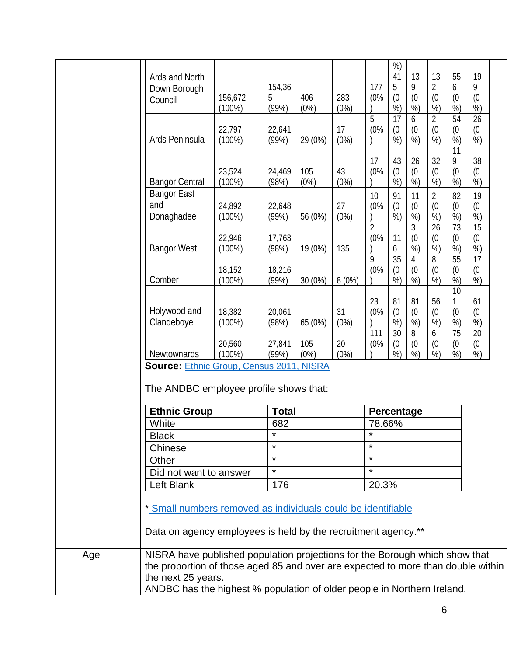|                                                                                                                               |                  |                 |         |       |                                                                             | %               |                |                |                      |           |  |
|-------------------------------------------------------------------------------------------------------------------------------|------------------|-----------------|---------|-------|-----------------------------------------------------------------------------|-----------------|----------------|----------------|----------------------|-----------|--|
| Ards and North                                                                                                                |                  |                 |         |       |                                                                             | 41              | 13             | 13             | 55                   | 19        |  |
| Down Borough                                                                                                                  |                  | 154,36          |         |       | 177                                                                         | 5               | 9              | $\overline{2}$ | 6                    | 9         |  |
| Council                                                                                                                       | 156,672          | 5               | 406     | 283   | (0%                                                                         | (0)             | (0)            | (0)            | (0)                  | (0)       |  |
|                                                                                                                               | $(100\%)$        | (99%)           | (0%)    | (0%)  |                                                                             | %<br>17         | %              | %              | %<br>$\overline{54}$ | %)        |  |
|                                                                                                                               |                  |                 |         | 17    | 5<br>(0%                                                                    |                 | 6              | $\overline{2}$ |                      | 26        |  |
| Ards Peninsula                                                                                                                | 22,797<br>(100%) | 22,641<br>(99%) | 29 (0%) | (0%)  |                                                                             | (0)<br>%        | (0)<br>%)      | (0)<br>%       | (0)<br>%)            | (0)<br>%) |  |
|                                                                                                                               |                  |                 |         |       |                                                                             |                 |                |                | 11                   |           |  |
|                                                                                                                               |                  |                 |         |       | 17                                                                          | 43              | 26             | 32             | 9                    | 38        |  |
|                                                                                                                               | 23,524           | 24,469          | 105     | 43    | (0%                                                                         | (0)             | (0)            | (0)            | (0)                  | (0)       |  |
| <b>Bangor Central</b>                                                                                                         | $(100\%)$        | (98%)           | (0%)    | (0%)  |                                                                             | %               | %)             | %)             | %                    | %         |  |
| <b>Bangor East</b>                                                                                                            |                  |                 |         |       | 10 <sup>1</sup>                                                             | 91              | 11             | $\overline{2}$ | 82                   | 19        |  |
| and                                                                                                                           | 24,892           | 22,648          |         | 27    | (0%                                                                         | (0)             | (0)            | (0)            | (0)                  | (0)       |  |
| Donaghadee                                                                                                                    | $(100\%)$        | (99%)           | 56 (0%) | (0%)  |                                                                             | %               | %              | %)             | %)                   | %         |  |
|                                                                                                                               |                  |                 |         |       | $\overline{2}$                                                              |                 | 3              | 26             | 73                   | 15        |  |
|                                                                                                                               | 22,946           | 17,763          |         |       | (0%                                                                         | 11              | (0)            | (0)            | (0)                  | (0)       |  |
| <b>Bangor West</b>                                                                                                            | $(100\%)$        | (98%)           | 19 (0%) | 135   |                                                                             | 6               | %)             | %)             | %)                   | %)        |  |
|                                                                                                                               |                  |                 |         |       | 9                                                                           | $\overline{35}$ | $\overline{4}$ | 8              | 55                   | 17        |  |
|                                                                                                                               | 18,152           | 18,216          |         |       | (0%                                                                         | (0)             | (0)            | (0)            | (0)                  | (0)       |  |
| Comber                                                                                                                        | $(100\%)$        | (99%)           | 30 (0%) | 8(0%) |                                                                             | %               | %)             | %              | %)                   | %         |  |
|                                                                                                                               |                  |                 |         |       |                                                                             |                 |                |                | 10                   |           |  |
|                                                                                                                               |                  |                 |         |       | 23                                                                          | 81              | 81             | 56             | 1                    | 61        |  |
| Holywood and                                                                                                                  | 18,382           | 20,061          |         | 31    | (0%                                                                         | (0)             | (0)            | (0)            | (0)                  | (0)       |  |
| Clandeboye                                                                                                                    | $(100\%)$        | (98%)           | 65 (0%) | (0%)  |                                                                             | %               | %              | %              | %                    | %         |  |
|                                                                                                                               |                  |                 |         |       | 111                                                                         | 30              | 8              | 6              | 75                   | 20        |  |
|                                                                                                                               | 20,560           | 27,841          | 105     | 20    | (0%                                                                         | (0)             | (0)            | (0)            | (0)                  | (0)       |  |
| Newtownards<br><b>Source: Ethnic Group, Census 2011, NISRA</b>                                                                | $(100\%)$        | (99%)           | (0%)    | (0%)  |                                                                             | %               | %              | %)             | %)                   | %)        |  |
| The ANDBC employee profile shows that:<br><b>Ethnic Group</b>                                                                 |                  | <b>Total</b>    |         |       | Percentage                                                                  |                 |                |                |                      |           |  |
| White                                                                                                                         |                  | 682<br>$\star$  |         |       | 78.66%<br>$\star$                                                           |                 |                |                |                      |           |  |
| <b>Black</b>                                                                                                                  |                  |                 |         |       |                                                                             |                 |                |                |                      |           |  |
| Chinese                                                                                                                       |                  | $\star$         |         |       | $\star$                                                                     |                 |                |                |                      |           |  |
| Other                                                                                                                         |                  | $\star$         |         |       | $\star$                                                                     |                 |                |                |                      |           |  |
| Did not want to answer                                                                                                        |                  | $\star$         |         |       | $\star$                                                                     |                 |                |                |                      |           |  |
| Left Blank                                                                                                                    |                  | 176             |         |       | 20.3%                                                                       |                 |                |                |                      |           |  |
| * Small numbers removed as individuals could be identifiable<br>Data on agency employees is held by the recruitment agency.** |                  |                 |         |       |                                                                             |                 |                |                |                      |           |  |
|                                                                                                                               |                  |                 |         |       | NISRA have published population projections for the Borough which show that |                 |                |                |                      |           |  |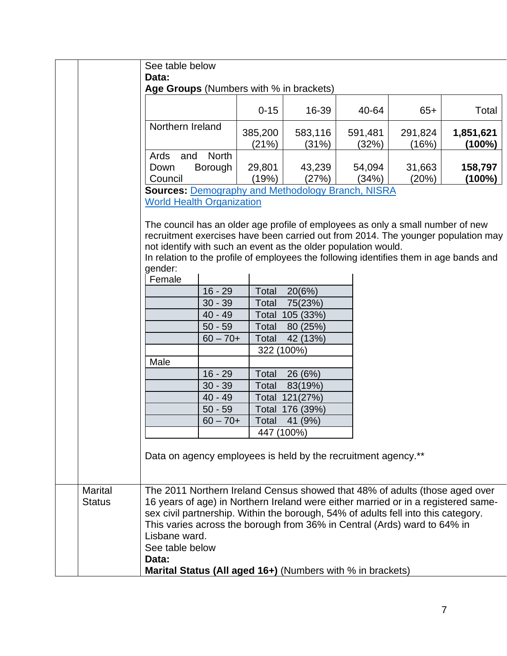|                | See table below<br>Data:                                                                                                                                                                                                                                                                                                                    |                  |                  |                  |                  |                     |
|----------------|---------------------------------------------------------------------------------------------------------------------------------------------------------------------------------------------------------------------------------------------------------------------------------------------------------------------------------------------|------------------|------------------|------------------|------------------|---------------------|
|                | Age Groups (Numbers with % in brackets)                                                                                                                                                                                                                                                                                                     |                  |                  |                  |                  |                     |
|                |                                                                                                                                                                                                                                                                                                                                             | $0 - 15$         | 16-39            | 40-64            | $65+$            | Total               |
|                | Northern Ireland                                                                                                                                                                                                                                                                                                                            | 385,200<br>(21%) | 583,116<br>(31%) | 591,481<br>(32%) | 291,824<br>(16%) | 1,851,621<br>(100%) |
|                | Ards<br><b>North</b><br>and                                                                                                                                                                                                                                                                                                                 |                  |                  |                  |                  |                     |
|                | <b>Borough</b><br>Down                                                                                                                                                                                                                                                                                                                      | 29,801           | 43,239           | 54,094           | 31,663           | 158,797             |
|                | Council                                                                                                                                                                                                                                                                                                                                     | (19%)            | (27%)            | (34%)            | (20%)            | $(100\%)$           |
|                | <b>Sources: Demography and Methodology Branch, NISRA</b>                                                                                                                                                                                                                                                                                    |                  |                  |                  |                  |                     |
|                | <b>World Health Organization</b>                                                                                                                                                                                                                                                                                                            |                  |                  |                  |                  |                     |
|                | The council has an older age profile of employees as only a small number of new<br>recruitment exercises have been carried out from 2014. The younger population may<br>not identify with such an event as the older population would.<br>In relation to the profile of employees the following identifies them in age bands and<br>gender: |                  |                  |                  |                  |                     |
|                | Female                                                                                                                                                                                                                                                                                                                                      |                  |                  |                  |                  |                     |
|                | $16 - 29$                                                                                                                                                                                                                                                                                                                                   | Total            | 20(6%)           |                  |                  |                     |
|                | $30 - 39$                                                                                                                                                                                                                                                                                                                                   | Total            | 75(23%)          |                  |                  |                     |
|                | $40 - 49$                                                                                                                                                                                                                                                                                                                                   | Total            | 105 (33%)        |                  |                  |                     |
|                | $50 - 59$                                                                                                                                                                                                                                                                                                                                   | Total            | 80 (25%)         |                  |                  |                     |
|                | $60 - 70 +$                                                                                                                                                                                                                                                                                                                                 | Total            | 42 (13%)         |                  |                  |                     |
|                |                                                                                                                                                                                                                                                                                                                                             | 322 (100%)       |                  |                  |                  |                     |
|                | Male                                                                                                                                                                                                                                                                                                                                        |                  |                  |                  |                  |                     |
|                | $16 - 29$                                                                                                                                                                                                                                                                                                                                   | Total            | 26 (6%)          |                  |                  |                     |
|                | $30 - 39$                                                                                                                                                                                                                                                                                                                                   | Total            | 83(19%)          |                  |                  |                     |
|                | $40 - 49$                                                                                                                                                                                                                                                                                                                                   | Total            | 121(27%)         |                  |                  |                     |
|                | $50 - 59$                                                                                                                                                                                                                                                                                                                                   | Total            | 176 (39%)        |                  |                  |                     |
|                | $60 - 70 +$                                                                                                                                                                                                                                                                                                                                 | Total            | 41 (9%)          |                  |                  |                     |
|                |                                                                                                                                                                                                                                                                                                                                             |                  | 447 (100%)       |                  |                  |                     |
|                | Data on agency employees is held by the recruitment agency.**                                                                                                                                                                                                                                                                               |                  |                  |                  |                  |                     |
| <b>Marital</b> | The 2011 Northern Ireland Census showed that 48% of adults (those aged over                                                                                                                                                                                                                                                                 |                  |                  |                  |                  |                     |
| <b>Status</b>  | 16 years of age) in Northern Ireland were either married or in a registered same-                                                                                                                                                                                                                                                           |                  |                  |                  |                  |                     |
|                | sex civil partnership. Within the borough, 54% of adults fell into this category.                                                                                                                                                                                                                                                           |                  |                  |                  |                  |                     |
|                | This varies across the borough from 36% in Central (Ards) ward to 64% in                                                                                                                                                                                                                                                                    |                  |                  |                  |                  |                     |
|                | Lisbane ward.                                                                                                                                                                                                                                                                                                                               |                  |                  |                  |                  |                     |
|                | See table below                                                                                                                                                                                                                                                                                                                             |                  |                  |                  |                  |                     |
|                | Data:                                                                                                                                                                                                                                                                                                                                       |                  |                  |                  |                  |                     |
|                | Marital Status (All aged 16+) (Numbers with % in brackets)                                                                                                                                                                                                                                                                                  |                  |                  |                  |                  |                     |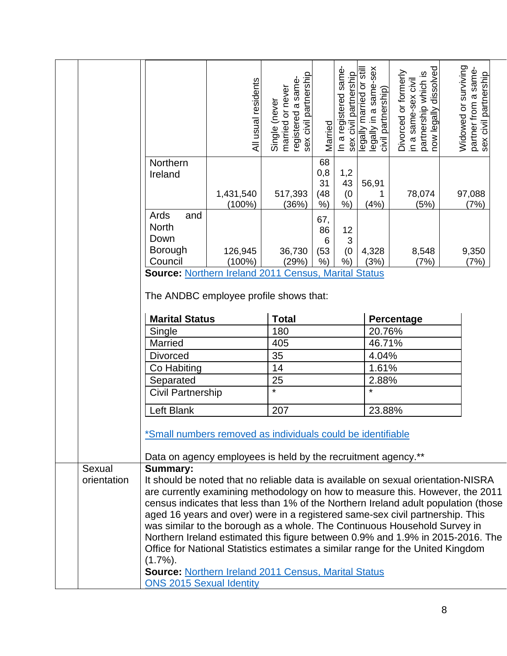|                       |                                                                                                                                                                                                                                                                                                                                                              | All usual residents    | sex civil partnership<br>registered a same-<br>married or never<br>Single (never | Married                              | In a registered same-<br>sex civil partnership | legally in a same-sex<br>legally married or still<br>civil partnership) | now legally dissolved<br>Divorced or formerly<br>partnership which is<br>in a same-sex civil | Widowed or surviving<br>partner from a same-<br>sex civil partnership |
|-----------------------|--------------------------------------------------------------------------------------------------------------------------------------------------------------------------------------------------------------------------------------------------------------------------------------------------------------------------------------------------------------|------------------------|----------------------------------------------------------------------------------|--------------------------------------|------------------------------------------------|-------------------------------------------------------------------------|----------------------------------------------------------------------------------------------|-----------------------------------------------------------------------|
|                       | Northern<br>Ireland                                                                                                                                                                                                                                                                                                                                          | 1,431,540<br>$(100\%)$ | 517,393<br>(36%)                                                                 | 68<br>0,8<br>31<br>(48)<br>$%$ )     | 1,2<br>43<br>(0)<br>$%$ )                      | 56,91<br>1<br>(4%)                                                      | 78,074<br>(5%)                                                                               | 97,088<br>(7%)                                                        |
|                       | Ards<br>and<br><b>North</b><br>Down<br>Borough                                                                                                                                                                                                                                                                                                               | 126,945                | 36,730                                                                           | 67,<br>86<br>$6\phantom{1}6$<br>(53) | 12<br>3<br>(0)                                 | 4,328                                                                   | 8,548                                                                                        | 9,350                                                                 |
|                       | Council<br><b>Source: Northern Ireland 2011 Census, Marital Status</b><br>The ANDBC employee profile shows that:                                                                                                                                                                                                                                             | $(100\%)$              | (29%)                                                                            | $%$ )                                | $%$ )                                          | (3%)                                                                    | (7%)                                                                                         | (7%)                                                                  |
|                       | <b>Marital Status</b>                                                                                                                                                                                                                                                                                                                                        |                        | <b>Total</b>                                                                     |                                      |                                                |                                                                         | Percentage                                                                                   |                                                                       |
|                       | Single                                                                                                                                                                                                                                                                                                                                                       |                        | 180                                                                              |                                      |                                                | 20.76%                                                                  |                                                                                              |                                                                       |
|                       | Married                                                                                                                                                                                                                                                                                                                                                      |                        | 405                                                                              |                                      |                                                | 46.71%                                                                  |                                                                                              |                                                                       |
|                       | <b>Divorced</b>                                                                                                                                                                                                                                                                                                                                              |                        | 35                                                                               |                                      |                                                | 4.04%                                                                   |                                                                                              |                                                                       |
|                       | Co Habiting                                                                                                                                                                                                                                                                                                                                                  |                        | 14                                                                               |                                      |                                                | 1.61%                                                                   |                                                                                              |                                                                       |
|                       | Separated                                                                                                                                                                                                                                                                                                                                                    |                        | 25                                                                               |                                      |                                                | 2.88%                                                                   |                                                                                              |                                                                       |
|                       | Civil Partnership                                                                                                                                                                                                                                                                                                                                            |                        | $\star$                                                                          |                                      |                                                | $\star$                                                                 |                                                                                              |                                                                       |
|                       |                                                                                                                                                                                                                                                                                                                                                              |                        |                                                                                  |                                      |                                                |                                                                         |                                                                                              |                                                                       |
|                       | Left Blank                                                                                                                                                                                                                                                                                                                                                   |                        | 207                                                                              |                                      |                                                | 23.88%                                                                  |                                                                                              |                                                                       |
|                       | *Small numbers removed as individuals could be identifiable<br>Data on agency employees is held by the recruitment agency.**                                                                                                                                                                                                                                 |                        |                                                                                  |                                      |                                                |                                                                         |                                                                                              |                                                                       |
| Sexual<br>orientation | <b>Summary:</b><br>It should be noted that no reliable data is available on sexual orientation-NISRA<br>are currently examining methodology on how to measure this. However, the 2011<br>census indicates that less than 1% of the Northern Ireland adult population (those<br>aged 16 years and over) were in a registered same-sex civil partnership. This |                        |                                                                                  |                                      |                                                |                                                                         | was similar to the borough as a whole. The Continuous Household Survey in                    |                                                                       |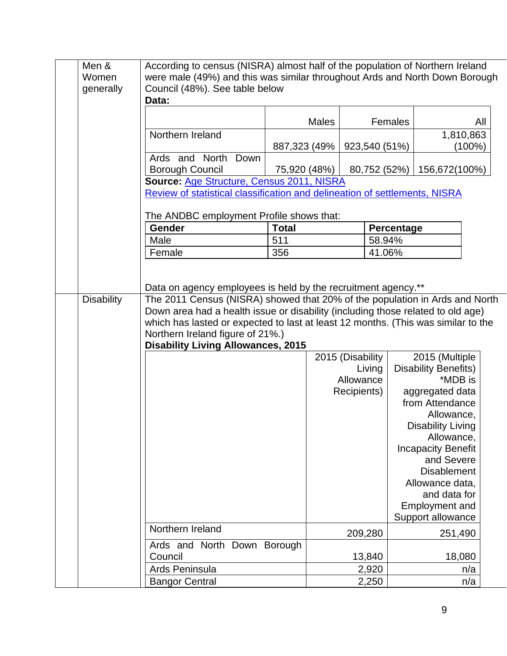| Men &             | According to census (NISRA) almost half of the population of Northern Ireland     |              |                  |                             |        |
|-------------------|-----------------------------------------------------------------------------------|--------------|------------------|-----------------------------|--------|
| Women             | were male (49%) and this was similar throughout Ards and North Down Borough       |              |                  |                             |        |
| generally         | Council (48%). See table below                                                    |              |                  |                             |        |
|                   | Data:                                                                             |              |                  |                             |        |
|                   |                                                                                   |              |                  |                             |        |
|                   |                                                                                   | <b>Males</b> | Females          |                             | All    |
|                   | Northern Ireland                                                                  |              |                  | 1,810,863                   |        |
|                   |                                                                                   | 887,323 (49% | 923,540 (51%)    |                             | (100%) |
|                   | Ards and North<br>Down                                                            |              |                  |                             |        |
|                   | <b>Borough Council</b>                                                            | 75,920 (48%) | 80,752 (52%)     | 156,672(100%)               |        |
|                   | Source: Age Structure, Census 2011, NISRA                                         |              |                  |                             |        |
|                   | Review of statistical classification and delineation of settlements, NISRA        |              |                  |                             |        |
|                   |                                                                                   |              |                  |                             |        |
|                   | The ANDBC employment Profile shows that:                                          |              |                  |                             |        |
|                   | Gender                                                                            | <b>Total</b> |                  | Percentage                  |        |
|                   | Male                                                                              | 511          | 58.94%           |                             |        |
|                   | Female                                                                            | 356          | 41.06%           |                             |        |
|                   |                                                                                   |              |                  |                             |        |
|                   |                                                                                   |              |                  |                             |        |
|                   | Data on agency employees is held by the recruitment agency.**                     |              |                  |                             |        |
| <b>Disability</b> | The 2011 Census (NISRA) showed that 20% of the population in Ards and North       |              |                  |                             |        |
|                   | Down area had a health issue or disability (including those related to old age)   |              |                  |                             |        |
|                   | which has lasted or expected to last at least 12 months. (This was similar to the |              |                  |                             |        |
|                   | Northern Ireland figure of 21%.)                                                  |              |                  |                             |        |
|                   | <b>Disability Living Allowances, 2015</b>                                         |              |                  |                             |        |
|                   |                                                                                   |              | 2015 (Disability | 2015 (Multiple              |        |
|                   |                                                                                   |              | Living           | <b>Disability Benefits)</b> |        |
|                   |                                                                                   |              | Allowance        | *MDB is                     |        |
|                   |                                                                                   |              | Recipients)      | aggregated data             |        |
|                   |                                                                                   |              |                  | from Attendance             |        |
|                   |                                                                                   |              |                  | Allowance,                  |        |
|                   |                                                                                   |              |                  | <b>Disability Living</b>    |        |
|                   |                                                                                   |              |                  | Allowance,                  |        |
|                   |                                                                                   |              |                  | <b>Incapacity Benefit</b>   |        |
|                   |                                                                                   |              |                  | and Severe                  |        |
|                   |                                                                                   |              |                  | <b>Disablement</b>          |        |
|                   |                                                                                   |              |                  | Allowance data,             |        |
|                   |                                                                                   |              |                  | and data for                |        |
|                   |                                                                                   |              |                  | <b>Employment and</b>       |        |
|                   |                                                                                   |              |                  | Support allowance           |        |
|                   | Northern Ireland                                                                  |              |                  |                             |        |
|                   |                                                                                   |              | 209,280          | 251,490                     |        |
|                   | Ards and North Down Borough                                                       |              |                  |                             |        |
|                   | Council                                                                           |              | 13,840           | 18,080                      |        |
|                   | Ards Peninsula                                                                    |              | 2,920            |                             | n/a    |
|                   | <b>Bangor Central</b>                                                             |              | 2,250            |                             | n/a    |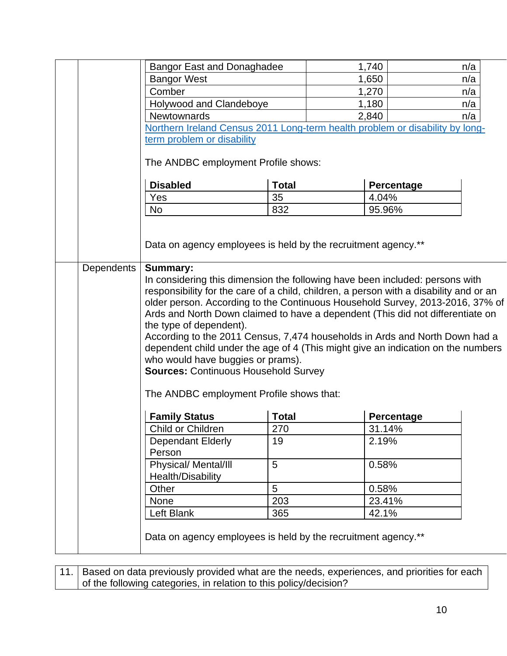|                   | <b>Bangor East and Donaghadee</b>                                                                                                                                                                                                                                                                                                                                                                                                                                                                                                                                                                                                                                                          |              | 1,740      | n/a |  |  |  |  |  |
|-------------------|--------------------------------------------------------------------------------------------------------------------------------------------------------------------------------------------------------------------------------------------------------------------------------------------------------------------------------------------------------------------------------------------------------------------------------------------------------------------------------------------------------------------------------------------------------------------------------------------------------------------------------------------------------------------------------------------|--------------|------------|-----|--|--|--|--|--|
|                   | <b>Bangor West</b>                                                                                                                                                                                                                                                                                                                                                                                                                                                                                                                                                                                                                                                                         |              | 1,650      | n/a |  |  |  |  |  |
|                   | Comber                                                                                                                                                                                                                                                                                                                                                                                                                                                                                                                                                                                                                                                                                     |              | 1,270      | n/a |  |  |  |  |  |
|                   | Holywood and Clandeboye                                                                                                                                                                                                                                                                                                                                                                                                                                                                                                                                                                                                                                                                    |              | 1,180      | n/a |  |  |  |  |  |
|                   | <b>Newtownards</b>                                                                                                                                                                                                                                                                                                                                                                                                                                                                                                                                                                                                                                                                         |              | 2,840      | n/a |  |  |  |  |  |
|                   | Northern Ireland Census 2011 Long-term health problem or disability by long-                                                                                                                                                                                                                                                                                                                                                                                                                                                                                                                                                                                                               |              |            |     |  |  |  |  |  |
|                   | term problem or disability                                                                                                                                                                                                                                                                                                                                                                                                                                                                                                                                                                                                                                                                 |              |            |     |  |  |  |  |  |
|                   | The ANDBC employment Profile shows:                                                                                                                                                                                                                                                                                                                                                                                                                                                                                                                                                                                                                                                        |              |            |     |  |  |  |  |  |
|                   | <b>Disabled</b>                                                                                                                                                                                                                                                                                                                                                                                                                                                                                                                                                                                                                                                                            | <b>Total</b> | Percentage |     |  |  |  |  |  |
|                   | Yes                                                                                                                                                                                                                                                                                                                                                                                                                                                                                                                                                                                                                                                                                        | 35           | 4.04%      |     |  |  |  |  |  |
|                   | <b>No</b>                                                                                                                                                                                                                                                                                                                                                                                                                                                                                                                                                                                                                                                                                  | 832          | 95.96%     |     |  |  |  |  |  |
|                   | Data on agency employees is held by the recruitment agency.**                                                                                                                                                                                                                                                                                                                                                                                                                                                                                                                                                                                                                              |              |            |     |  |  |  |  |  |
| <b>Dependents</b> | <b>Summary:</b><br>In considering this dimension the following have been included: persons with<br>responsibility for the care of a child, children, a person with a disability and or an<br>older person. According to the Continuous Household Survey, 2013-2016, 37% of<br>Ards and North Down claimed to have a dependent (This did not differentiate on<br>the type of dependent).<br>According to the 2011 Census, 7,474 households in Ards and North Down had a<br>dependent child under the age of 4 (This might give an indication on the numbers<br>who would have buggies or prams).<br><b>Sources: Continuous Household Survey</b><br>The ANDBC employment Profile shows that: |              |            |     |  |  |  |  |  |
|                   | <b>Family Status</b>                                                                                                                                                                                                                                                                                                                                                                                                                                                                                                                                                                                                                                                                       | <b>Total</b> | Percentage |     |  |  |  |  |  |
|                   | Child or Children                                                                                                                                                                                                                                                                                                                                                                                                                                                                                                                                                                                                                                                                          | 270          | 31.14%     |     |  |  |  |  |  |
|                   | <b>Dependant Elderly</b><br>Person                                                                                                                                                                                                                                                                                                                                                                                                                                                                                                                                                                                                                                                         | 19           | 2.19%      |     |  |  |  |  |  |
|                   | Physical/ Mental/III<br>Health/Disability                                                                                                                                                                                                                                                                                                                                                                                                                                                                                                                                                                                                                                                  | 5            | 0.58%      |     |  |  |  |  |  |
|                   | Other                                                                                                                                                                                                                                                                                                                                                                                                                                                                                                                                                                                                                                                                                      | 5            | 0.58%      |     |  |  |  |  |  |
|                   | <b>None</b>                                                                                                                                                                                                                                                                                                                                                                                                                                                                                                                                                                                                                                                                                | 203          | 23.41%     |     |  |  |  |  |  |
|                   | Left Blank                                                                                                                                                                                                                                                                                                                                                                                                                                                                                                                                                                                                                                                                                 | 365          | 42.1%      |     |  |  |  |  |  |
|                   | Data on agency employees is held by the recruitment agency.**                                                                                                                                                                                                                                                                                                                                                                                                                                                                                                                                                                                                                              |              |            |     |  |  |  |  |  |

11. | Based on data previously provided what are the needs, experiences, and priorities for each of the following categories, in relation to this policy/decision?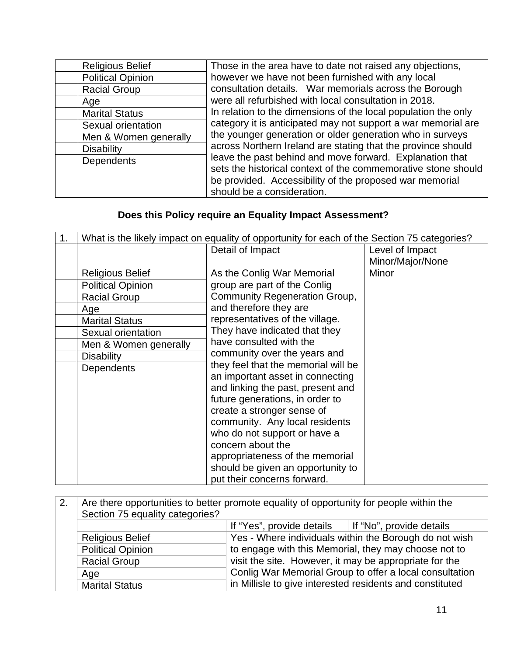| <b>Religious Belief</b>  | Those in the area have to date not raised any objections,                                                                                                                                                          |
|--------------------------|--------------------------------------------------------------------------------------------------------------------------------------------------------------------------------------------------------------------|
| <b>Political Opinion</b> | however we have not been furnished with any local                                                                                                                                                                  |
| <b>Racial Group</b>      | consultation details. War memorials across the Borough                                                                                                                                                             |
| Age                      | were all refurbished with local consultation in 2018.                                                                                                                                                              |
| <b>Marital Status</b>    | In relation to the dimensions of the local population the only                                                                                                                                                     |
| Sexual orientation       | category it is anticipated may not support a war memorial are                                                                                                                                                      |
| Men & Women generally    | the younger generation or older generation who in surveys                                                                                                                                                          |
| <b>Disability</b>        | across Northern Ireland are stating that the province should                                                                                                                                                       |
| Dependents               | leave the past behind and move forward. Explanation that<br>sets the historical context of the commemorative stone should<br>be provided. Accessibility of the proposed war memorial<br>should be a consideration. |

## **Does this Policy require an Equality Impact Assessment?**

| 1. | What is the likely impact on equality of opportunity for each of the Section 75 categories? |                                      |                  |
|----|---------------------------------------------------------------------------------------------|--------------------------------------|------------------|
|    |                                                                                             | Detail of Impact                     | Level of Impact  |
|    |                                                                                             |                                      | Minor/Major/None |
|    | <b>Religious Belief</b>                                                                     | As the Conlig War Memorial           | Minor            |
|    | <b>Political Opinion</b>                                                                    | group are part of the Conlig         |                  |
|    | <b>Racial Group</b>                                                                         | <b>Community Regeneration Group,</b> |                  |
|    | Age                                                                                         | and therefore they are               |                  |
|    | <b>Marital Status</b>                                                                       | representatives of the village.      |                  |
|    | Sexual orientation                                                                          | They have indicated that they        |                  |
|    | Men & Women generally                                                                       | have consulted with the              |                  |
|    | <b>Disability</b>                                                                           | community over the years and         |                  |
|    | Dependents                                                                                  | they feel that the memorial will be  |                  |
|    |                                                                                             | an important asset in connecting     |                  |
|    |                                                                                             | and linking the past, present and    |                  |
|    |                                                                                             | future generations, in order to      |                  |
|    |                                                                                             | create a stronger sense of           |                  |
|    |                                                                                             | community. Any local residents       |                  |
|    |                                                                                             | who do not support or have a         |                  |
|    |                                                                                             | concern about the                    |                  |
|    |                                                                                             | appropriateness of the memorial      |                  |
|    |                                                                                             | should be given an opportunity to    |                  |
|    |                                                                                             | put their concerns forward.          |                  |

| 2. | Are there opportunities to better promote equality of opportunity for people within the<br>Section 75 equality categories? |                                                                |                                                         |
|----|----------------------------------------------------------------------------------------------------------------------------|----------------------------------------------------------------|---------------------------------------------------------|
|    |                                                                                                                            | If "Yes", provide details $\parallel$ If "No", provide details |                                                         |
|    | <b>Religious Belief</b>                                                                                                    |                                                                | Yes - Where individuals within the Borough do not wish  |
|    | <b>Political Opinion</b>                                                                                                   |                                                                | to engage with this Memorial, they may choose not to    |
|    | <b>Racial Group</b>                                                                                                        | visit the site. However, it may be appropriate for the         |                                                         |
|    | Age                                                                                                                        |                                                                | Conlig War Memorial Group to offer a local consultation |
|    | <b>Marital Status</b>                                                                                                      | in Millisle to give interested residents and constituted       |                                                         |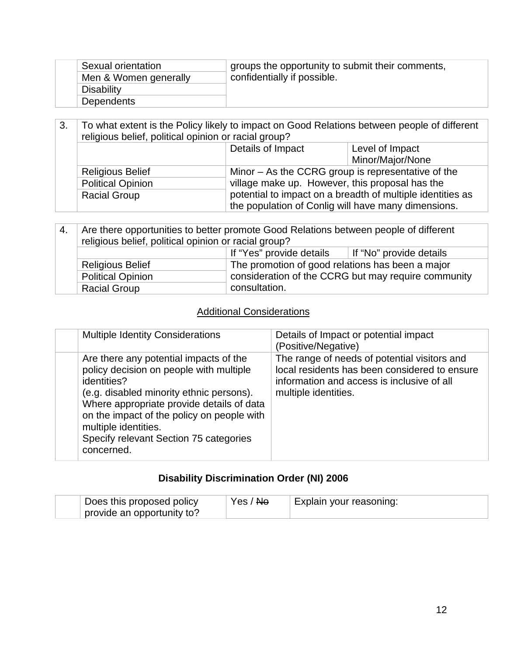| Sexual orientation    | groups the opportunity to submit their comments, |
|-----------------------|--------------------------------------------------|
| Men & Women generally | confidentially if possible.                      |
| <b>Disability</b>     |                                                  |
| <b>Dependents</b>     |                                                  |

| 3. | To what extent is the Policy likely to impact on Good Relations between people of different<br>religious belief, political opinion or racial group? |                                                     |                                                            |
|----|-----------------------------------------------------------------------------------------------------------------------------------------------------|-----------------------------------------------------|------------------------------------------------------------|
|    |                                                                                                                                                     | Details of Impact                                   | Level of Impact                                            |
|    |                                                                                                                                                     |                                                     | Minor/Major/None                                           |
|    | <b>Religious Belief</b>                                                                                                                             | Minor – As the CCRG group is representative of the  |                                                            |
|    | <b>Political Opinion</b>                                                                                                                            | village make up. However, this proposal has the     |                                                            |
|    | <b>Racial Group</b>                                                                                                                                 |                                                     | potential to impact on a breadth of multiple identities as |
|    |                                                                                                                                                     | the population of Conlig will have many dimensions. |                                                            |

| 4. | Are there opportunities to better promote Good Relations between people of different<br>religious belief, political opinion or racial group? |                                                     |  |
|----|----------------------------------------------------------------------------------------------------------------------------------------------|-----------------------------------------------------|--|
|    | If "Yes" provide details<br>If "No" provide details                                                                                          |                                                     |  |
|    | <b>Religious Belief</b>                                                                                                                      | The promotion of good relations has been a major    |  |
|    | <b>Political Opinion</b>                                                                                                                     | consideration of the CCRG but may require community |  |
|    | <b>Racial Group</b>                                                                                                                          | consultation.                                       |  |

## **Additional Considerations**

|  | <b>Multiple Identity Considerations</b>                                                                                                                                                                                                                                                                                 | Details of Impact or potential impact<br>(Positive/Negative)                                                                                                        |
|--|-------------------------------------------------------------------------------------------------------------------------------------------------------------------------------------------------------------------------------------------------------------------------------------------------------------------------|---------------------------------------------------------------------------------------------------------------------------------------------------------------------|
|  | Are there any potential impacts of the<br>policy decision on people with multiple<br>identities?<br>(e.g. disabled minority ethnic persons).<br>Where appropriate provide details of data<br>on the impact of the policy on people with<br>multiple identities.<br>Specify relevant Section 75 categories<br>concerned. | The range of needs of potential visitors and<br>local residents has been considered to ensure<br>information and access is inclusive of all<br>multiple identities. |
|  |                                                                                                                                                                                                                                                                                                                         |                                                                                                                                                                     |

## **Disability Discrimination Order (NI) 2006**

| Does this proposed policy  | Yes / Ne | Explain your reasoning: |
|----------------------------|----------|-------------------------|
| provide an opportunity to? |          |                         |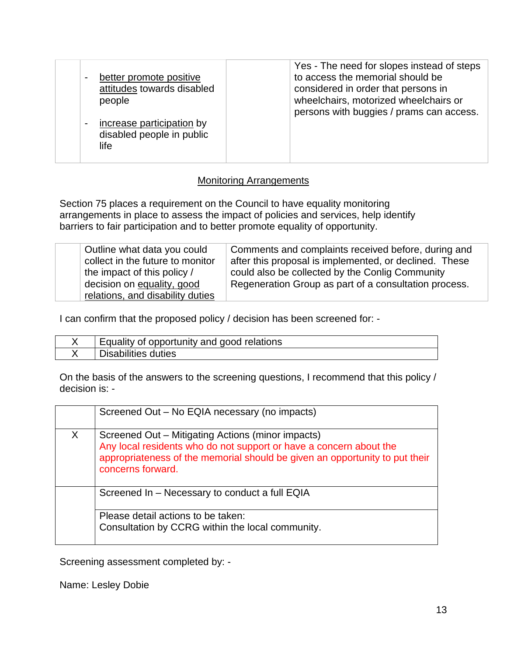| $\blacksquare$ | better promote positive<br>attitudes towards disabled<br>people | Yes - The need for slopes instead of steps<br>to access the memorial should be<br>considered in order that persons in<br>wheelchairs, motorized wheelchairs or<br>persons with buggies / prams can access. |
|----------------|-----------------------------------------------------------------|------------------------------------------------------------------------------------------------------------------------------------------------------------------------------------------------------------|
| $\blacksquare$ | increase participation by<br>disabled people in public<br>life  |                                                                                                                                                                                                            |

#### Monitoring Arrangements

Section 75 places a requirement on the Council to have equality monitoring arrangements in place to assess the impact of policies and services, help identify barriers to fair participation and to better promote equality of opportunity.

| Outline what data you could<br>collect in the future to monitor<br>the impact of this policy /<br>decision on equality, good<br>relations, and disability duties | Comments and complaints received before, during and<br>after this proposal is implemented, or declined. These<br>could also be collected by the Conlig Community<br>Regeneration Group as part of a consultation process. |
|------------------------------------------------------------------------------------------------------------------------------------------------------------------|---------------------------------------------------------------------------------------------------------------------------------------------------------------------------------------------------------------------------|
|------------------------------------------------------------------------------------------------------------------------------------------------------------------|---------------------------------------------------------------------------------------------------------------------------------------------------------------------------------------------------------------------------|

I can confirm that the proposed policy / decision has been screened for: -

| Equality of opportunity and good relations |
|--------------------------------------------|
| abilities duties.                          |

On the basis of the answers to the screening questions, I recommend that this policy / decision is: -

|        | Screened Out - No EQIA necessary (no impacts)                                                                                                                                                                               |
|--------|-----------------------------------------------------------------------------------------------------------------------------------------------------------------------------------------------------------------------------|
| $\chi$ | Screened Out – Mitigating Actions (minor impacts)<br>Any local residents who do not support or have a concern about the<br>appropriateness of the memorial should be given an opportunity to put their<br>concerns forward. |
|        | Screened In - Necessary to conduct a full EQIA                                                                                                                                                                              |
|        | Please detail actions to be taken:<br>Consultation by CCRG within the local community.                                                                                                                                      |

Screening assessment completed by: -

Name: Lesley Dobie